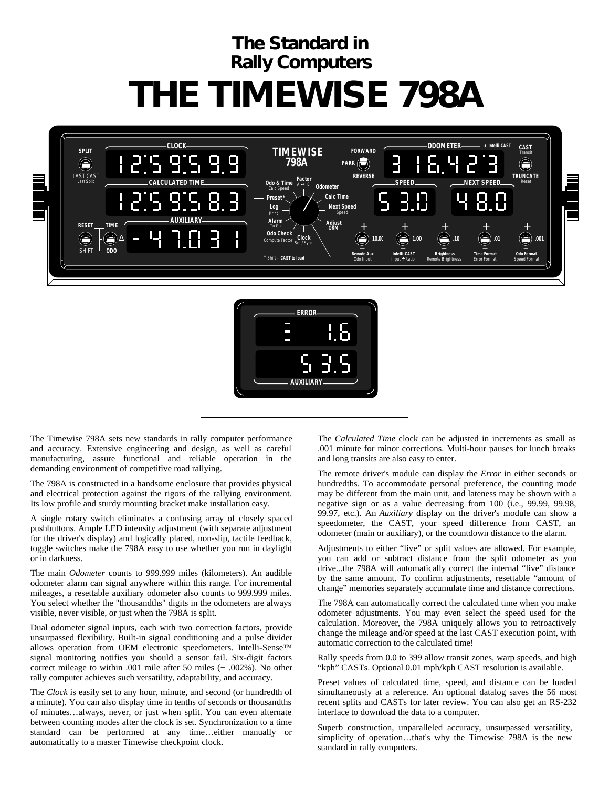## **The Standard in Rally Computers THE TIMEWISE 798A**





The Timewise 798A sets new standards in rally computer performance and accuracy. Extensive engineering and design, as well as careful manufacturing, assure functional and reliable operation in the demanding environment of competitive road rallying.

The 798A is constructed in a handsome enclosure that provides physical and electrical protection against the rigors of the rallying environment. Its low profile and sturdy mounting bracket make installation easy.

A single rotary switch eliminates a confusing array of closely spaced pushbuttons. Ample LED intensity adjustment (with separate adjustment for the driver's display) and logically placed, non-slip, tactile feedback, toggle switches make the 798A easy to use whether you run in daylight or in darkness.

The main *Odometer* counts to 999.999 miles (kilometers). An audible odometer alarm can signal anywhere within this range. For incremental mileages, a resettable auxiliary odometer also counts to 999.999 miles. You select whether the "thousandths" digits in the odometers are always visible, never visible, or just when the 798A is split.

Dual odometer signal inputs, each with two correction factors, provide unsurpassed flexibility. Built-in signal conditioning and a pulse divider allows operation from OEM electronic speedometers. Intelli-Sense™ signal monitoring notifies you should a sensor fail. Six-digit factors correct mileage to within .001 mile after 50 miles  $(\pm 0.002\%)$ . No other rally computer achieves such versatility, adaptability, and accuracy.

The *Clock* is easily set to any hour, minute, and second (or hundredth of a minute). You can also display time in tenths of seconds or thousandths of minutes…always, never, or just when split. You can even alternate between counting modes after the clock is set. Synchronization to a time standard can be performed at any time…either manually or automatically to a master Timewise checkpoint clock.

The *Calculated Time* clock can be adjusted in increments as small as .001 minute for minor corrections. Multi-hour pauses for lunch breaks and long transits are also easy to enter.

The remote driver's module can display the *Error* in either seconds or hundredths. To accommodate personal preference, the counting mode may be different from the main unit, and lateness may be shown with a negative sign or as a value decreasing from 100 (i.e., 99.99, 99.98, 99.97, etc.). An *Auxiliary* display on the driver's module can show a speedometer, the CAST, your speed difference from CAST, an odometer (main or auxiliary), or the countdown distance to the alarm.

Adjustments to either "live" or split values are allowed. For example, you can add or subtract distance from the split odometer as you drive...the 798A will automatically correct the internal "live" distance by the same amount. To confirm adjustments, resettable "amount of change" memories separately accumulate time and distance corrections.

The 798A can automatically correct the calculated time when you make odometer adjustments. You may even select the speed used for the calculation. Moreover, the 798A uniquely allows you to retroactively change the mileage and/or speed at the last CAST execution point, with automatic correction to the calculated time!

Rally speeds from 0.0 to 399 allow transit zones, warp speeds, and high "kph" CASTs. Optional 0.01 mph/kph CAST resolution is available.

Preset values of calculated time, speed, and distance can be loaded simultaneously at a reference. An optional datalog saves the 56 most recent splits and CASTs for later review. You can also get an RS-232 interface to download the data to a computer.

Superb construction, unparalleled accuracy, unsurpassed versatility, simplicity of operation…that's why the Timewise 798A is the new standard in rally computers.